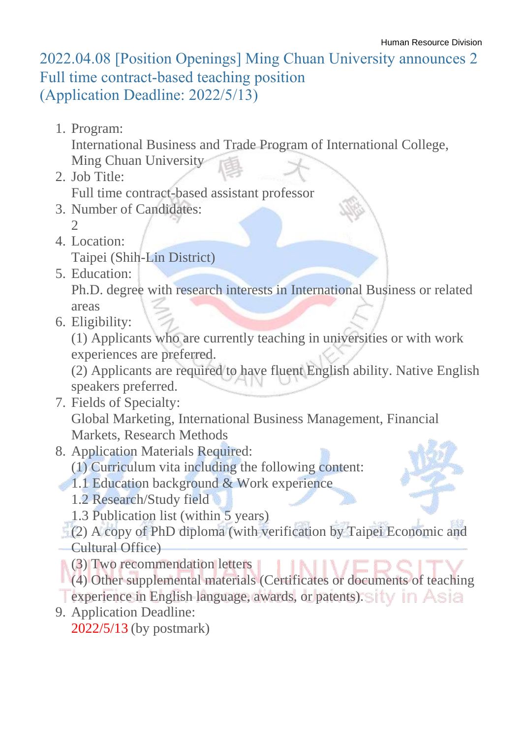## 2022.04.08 [Position Openings] Ming Chuan University announces 2 Full time contract-based teaching position (Application Deadline: 2022/5/13)

1. Program:

International Business and Trade Program of International College,

Ming Chuan University

2. Job Title:

Full time contract-based assistant professor

- 3. Number of Candidates:
	- 2
- 4. Location:

Taipei (Shih-Lin District)

5. Education:

Ph.D. degree with research interests in International Business or related areas

6. Eligibility:

(1) Applicants who are currently teaching in universities or with work experiences are preferred.

(2) Applicants are required to have fluent English ability. Native English speakers preferred.

- 7. Fields of Specialty: Global Marketing, International Business Management, Financial Markets, Research Methods
- 8. Application Materials Required:
	- (1) Curriculum vita including the following content:
- 1.1 Education background & Work experience
	- 1.2 Research/Study field
	- 1.3 Publication list (within 5 years)
- (2) A copy of PhD diploma (with verification by Taipei Economic and Cultural Office)
- **(3)** Two recommendation letters
- (4) Other supplemental materials (Certificates or documents of teaching
- **Texperience in English language, awards, or patents). Sity in Asia**
- 9. Application Deadline: 2022/5/13 (by postmark)